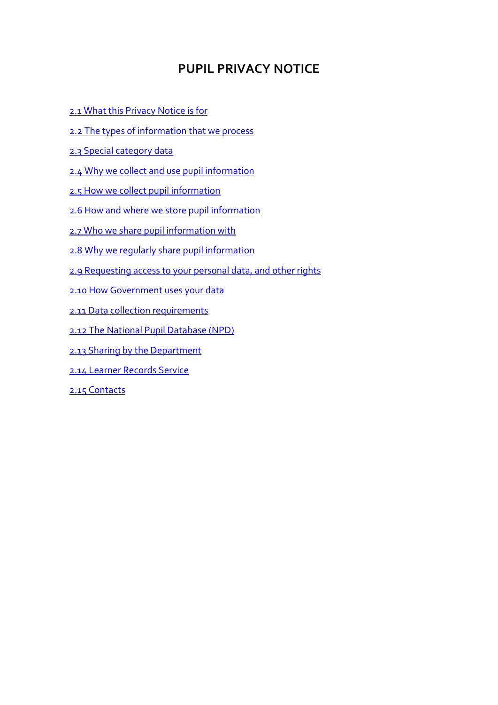## **PUPIL PRIVACY NOTICE**

- [2.1 What this Privacy Notice is for](#page-1-0)
- [2.2 The types of information that we process](#page-1-1)
- [2.3 Special category data](#page-1-2)
- [2.4 Why we collect and use pupil information](#page-1-3)
- [2.5 How we collect pupil information](#page-2-0)
- [2.6 How and where we store pupil information](#page-3-0)
- [2.7 Who we share pupil information with](#page-3-1)
- [2.8 Why we regularly share pupil information](#page-3-2)
- [2.9 Requesting access to your personal data, and other rights](#page-5-0)
- [2.10 How Government uses your data](#page-5-1)
- [2.11 Data collection requirements](#page-5-2)
- [2.12 The National Pupil Database \(NPD\)](#page-5-3)
- [2.13 Sharing by the Department](#page-6-0)
- [2.14 Learner Records Service](#page-7-0)
- [2.15 Contacts](#page-7-1)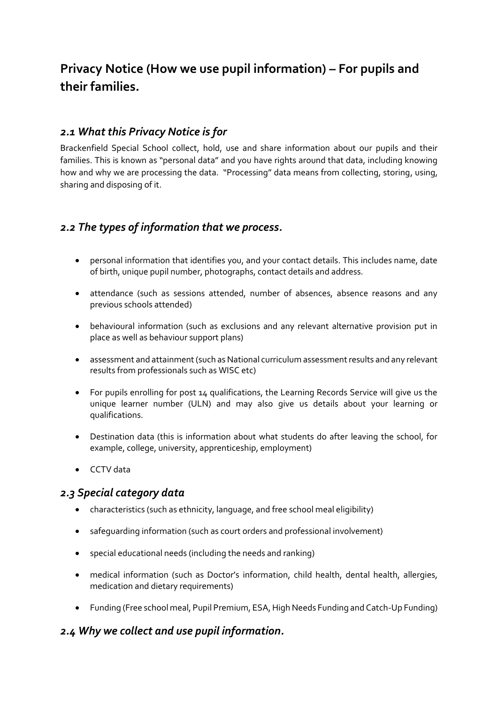# **Privacy Notice (How we use pupil information) – For pupils and their families.**

## <span id="page-1-0"></span>*2.1 What this Privacy Notice is for*

Brackenfield Special School collect, hold, use and share information about our pupils and their families. This is known as "personal data" and you have rights around that data, including knowing how and why we are processing the data. "Processing" data means from collecting, storing, using, sharing and disposing of it.

## <span id="page-1-1"></span>*2.2 The types of information that we process.*

- personal information that identifies you, and your contact details. This includes name, date of birth, unique pupil number, photographs, contact details and address.
- attendance (such as sessions attended, number of absences, absence reasons and any previous schools attended)
- behavioural information (such as exclusions and any relevant alternative provision put in place as well as behaviour support plans)
- assessment and attainment (such as National curriculum assessment results and any relevant results from professionals such as WISC etc)
- For pupils enrolling for post 14 qualifications, the Learning Records Service will give us the unique learner number (ULN) and may also give us details about your learning or qualifications.
- Destination data (this is information about what students do after leaving the school, for example, college, university, apprenticeship, employment)
- CCTV data

## <span id="page-1-2"></span>*2.3 Special category data*

- characteristics (such as ethnicity, language, and free school meal eligibility)
- safeguarding information (such as court orders and professional involvement)
- special educational needs (including the needs and ranking)
- medical information (such as Doctor's information, child health, dental health, allergies, medication and dietary requirements)
- Funding (Free school meal, Pupil Premium, ESA, High Needs Funding and Catch-Up Funding)

## <span id="page-1-3"></span>*2.4 Why we collect and use pupil information.*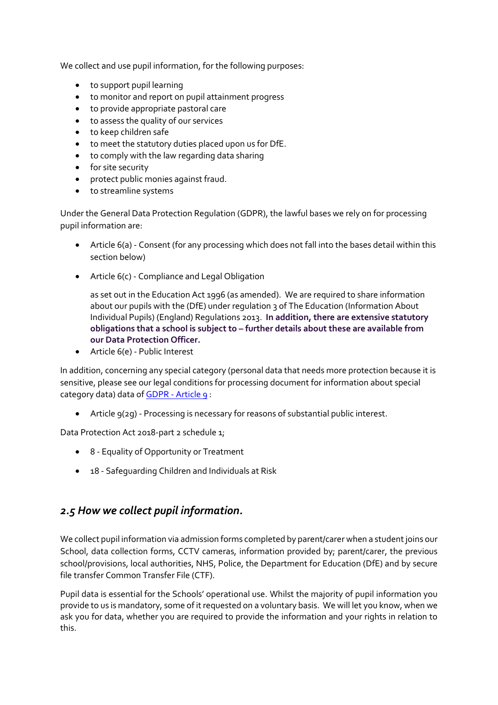We collect and use pupil information, for the following purposes:

- to support pupil learning
- to monitor and report on pupil attainment progress
- to provide appropriate pastoral care
- to assess the quality of our services
- to keep children safe
- to meet the statutory duties placed upon us for DfE.
- to comply with the law regarding data sharing
- for site security
- protect public monies against fraud.
- to streamline systems

Under the General Data Protection Regulation (GDPR), the lawful bases we rely on for processing pupil information are:

- Article 6(a) Consent (for any processing which does not fall into the bases detail within this section below)
- Article 6(c) Compliance and Legal Obligation

as set out in the Education Act 1996 (as amended). We are required to share information about our pupils with the (DfE) under regulation 3 of The Education (Information About Individual Pupils) (England) Regulations 2013. **In addition, there are extensive statutory obligations that a school is subject to – further details about these are available from our Data Protection Officer.**

• Article 6(e) - Public Interest

In addition, concerning any special category (personal data that needs more protection because it is sensitive, please see our legal conditions for processing document for information about special category data) data of GDPR - [Article 9](https://gdpr-info.eu/art-9-gdpr/) :

• Article 9(2g) - Processing is necessary for reasons of substantial public interest.

Data Protection Act 2018-part 2 schedule 1;

- 8 Equality of Opportunity or Treatment
- 18 Safeguarding Children and Individuals at Risk

## <span id="page-2-0"></span>*2.5 How we collect pupil information.*

We collect pupil information via admission forms completed by parent/carer when a student joins our School, data collection forms, CCTV cameras, information provided by; parent/carer, the previous school/provisions, local authorities, NHS, Police, the Department for Education (DfE) and by secure file transfer Common Transfer File (CTF).

Pupil data is essential for the Schools' operational use. Whilst the majority of pupil information you provide to us is mandatory, some of it requested on a voluntary basis. We will let you know, when we ask you for data, whether you are required to provide the information and your rights in relation to this.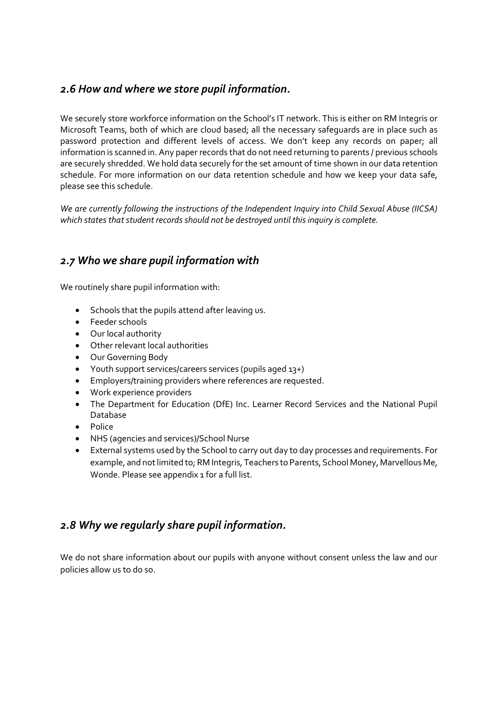## <span id="page-3-0"></span>*2.6 How and where we store pupil information.*

We securely store workforce information on the School's IT network. This is either on RM Integris or Microsoft Teams, both of which are cloud based; all the necessary safeguards are in place such as password protection and different levels of access. We don't keep any records on paper; all information is scanned in. Any paper records that do not need returning to parents / previous schools are securely shredded. We hold data securely for the set amount of time shown in our data retention schedule. For more information on our data retention schedule and how we keep your data safe, please see this schedule.

*We are currently following the instructions of the Independent Inquiry into Child Sexual Abuse (IICSA) which states that student records should not be destroyed until this inquiry is complete.*

## <span id="page-3-1"></span>*2.7 Who we share pupil information with*

We routinely share pupil information with:

- Schools that the pupils attend after leaving us.
- Feeder schools
- Our local authority
- Other relevant local authorities
- Our Governing Body
- Youth support services/careers services (pupils aged 13+)
- Employers/training providers where references are requested.
- Work experience providers
- The Department for Education (DfE) Inc. Learner Record Services and the National Pupil Database
- Police
- NHS (agencies and services)/School Nurse
- External systems used by the School to carry out day to day processes and requirements. For example, and not limited to; RM Integris, Teachers to Parents, School Money, Marvellous Me, Wonde. Please see appendix 1 for a full list.

## <span id="page-3-2"></span>*2.8 Why we regularly share pupil information.*

We do not share information about our pupils with anyone without consent unless the law and our policies allow us to do so.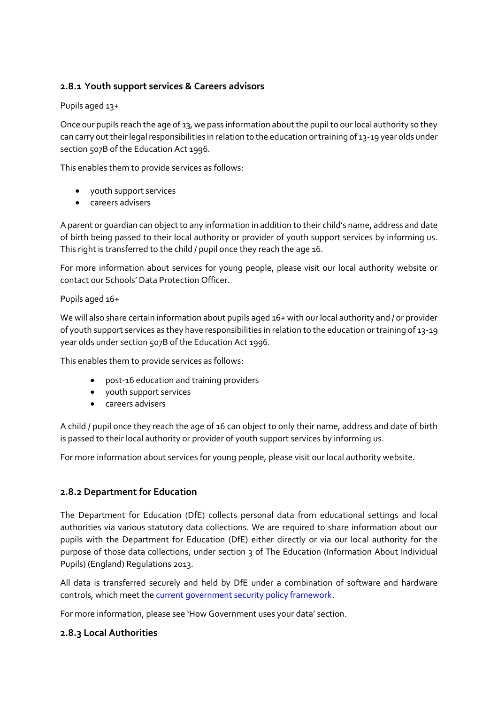### **2.8.1 Youth support services & Careers advisors**

#### Pupils aged 13+

Once our pupils reach the age of 13, we pass information about the pupil to our local authority so they can carry out their legal responsibilities in relation to the education or training of 13-19 year olds under section 507B of the Education Act 1996.

This enables them to provide services as follows:

- youth support services
- careers advisers

A parent or guardian can object to any information in addition to their child's name, address and date of birth being passed to their local authority or provider of youth support services by informing us. This right is transferred to the child / pupil once they reach the age 16.

For more information about services for young people, please visit our local authority website or contact our Schools' Data Protection Officer.

#### Pupils aged 16+

We will also share certain information about pupils aged 16+ with our local authority and / or provider of youth support services as they have responsibilities in relation to the education or training of 13-19 year olds under section 507B of the Education Act 1996.

This enables them to provide services as follows:

- post-16 education and training providers
- youth support services
- careers advisers

A child / pupil once they reach the age of 16 can object to only their name, address and date of birth is passed to their local authority or provider of youth support services by informing us.

For more information about services for young people, please visit our local authority website.

#### **2.8.2 Department for Education**

The Department for Education (DfE) collects personal data from educational settings and local authorities via various statutory data collections. We are required to share information about our pupils with the Department for Education (DfE) either directly or via our local authority for the purpose of those data collections, under section 3 of The Education (Information About Individual Pupils) (England) Regulations 2013.

All data is transferred securely and held by DfE under a combination of software and hardware controls, which meet th[e current government security policy framework.](https://www.gov.uk/government/publications/security-policy-framework)

For more information, please see 'How Government uses your data' section.

#### **2.8.3 Local Authorities**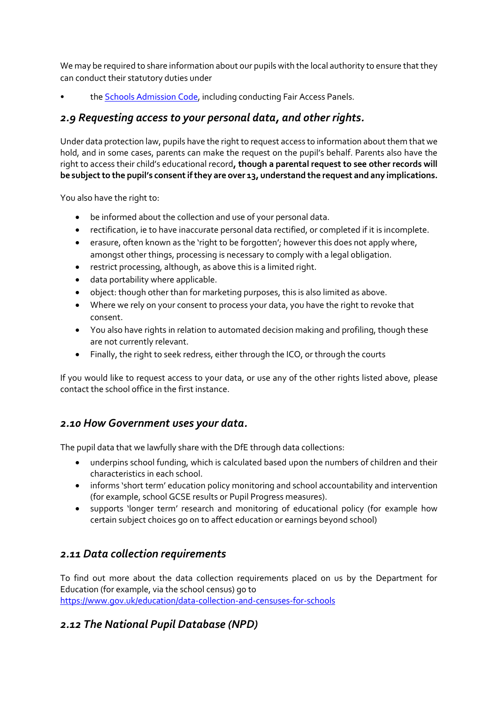We may be required to share information about our pupils with the local authority to ensure that they can conduct their statutory duties under

th[e Schools Admission Code,](https://www.gov.uk/government/publications/school-admissions-code--2) including conducting Fair Access Panels.

## <span id="page-5-0"></span>*2.9 Requesting access to your personal data, and other rights.*

Under data protection law, pupils have the right to request access to information about them that we hold, and in some cases, parents can make the request on the pupil's behalf. Parents also have the right to access their child's educational record**, though a parental request to see other records will be subject to the pupil's consent if they are over 13, understand the request and any implications.**

You also have the right to:

- be informed about the collection and use of your personal data.
- rectification, ie to have inaccurate personal data rectified, or completed if it is incomplete.
- erasure, often known as the 'right to be forgotten'; however this does not apply where, amongst other things, processing is necessary to comply with a legal obligation.
- restrict processing, although, as above this is a limited right.
- data portability where applicable.
- object: though other than for marketing purposes, this is also limited as above.
- Where we rely on your consent to process your data, you have the right to revoke that consent.
- You also have rights in relation to automated decision making and profiling, though these are not currently relevant.
- Finally, the right to seek redress, either through the ICO, or through the courts

If you would like to request access to your data, or use any of the other rights listed above, please contact the school office in the first instance.

## <span id="page-5-1"></span>*2.10 How Government uses your data.*

The pupil data that we lawfully share with the DfE through data collections:

- underpins school funding, which is calculated based upon the numbers of children and their characteristics in each school.
- informs 'short term' education policy monitoring and school accountability and intervention (for example, school GCSE results or Pupil Progress measures).
- supports 'longer term' research and monitoring of educational policy (for example how certain subject choices go on to affect education or earnings beyond school)

## <span id="page-5-2"></span>*2.11 Data collection requirements*

To find out more about the data collection requirements placed on us by the Department for Education (for example, via the school census) go to <https://www.gov.uk/education/data-collection-and-censuses-for-schools>

## <span id="page-5-3"></span>*2.12 The National Pupil Database (NPD)*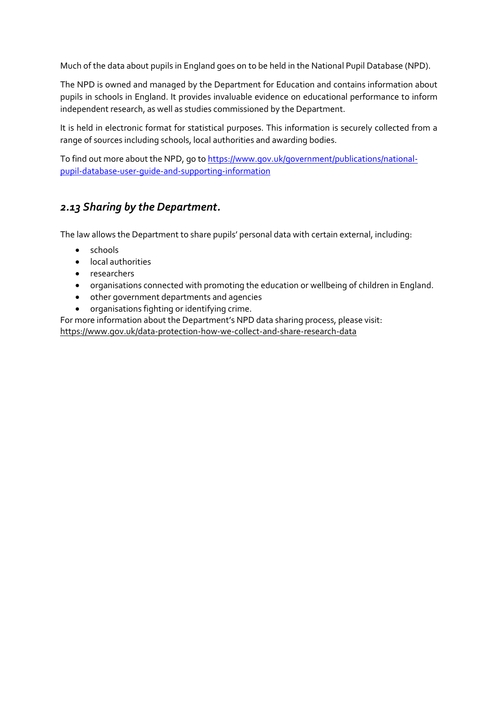Much of the data about pupils in England goes on to be held in the National Pupil Database (NPD).

The NPD is owned and managed by the Department for Education and contains information about pupils in schools in England. It provides invaluable evidence on educational performance to inform independent research, as well as studies commissioned by the Department.

It is held in electronic format for statistical purposes. This information is securely collected from a range of sources including schools, local authorities and awarding bodies.

To find out more about the NPD, go t[o https://www.gov.uk/government/publications/national](https://www.gov.uk/government/publications/national-pupil-database-user-guide-and-supporting-information)[pupil-database-user-guide-and-supporting-information](https://www.gov.uk/government/publications/national-pupil-database-user-guide-and-supporting-information)

## <span id="page-6-0"></span>*2.13 Sharing by the Department.*

The law allows the Department to share pupils' personal data with certain external, including:

- schools
- local authorities
- researchers
- organisations connected with promoting the education or wellbeing of children in England.
- other government departments and agencies
- organisations fighting or identifying crime.

For more information about the Department's NPD data sharing process, please visit:

<https://www.gov.uk/data-protection-how-we-collect-and-share-research-data>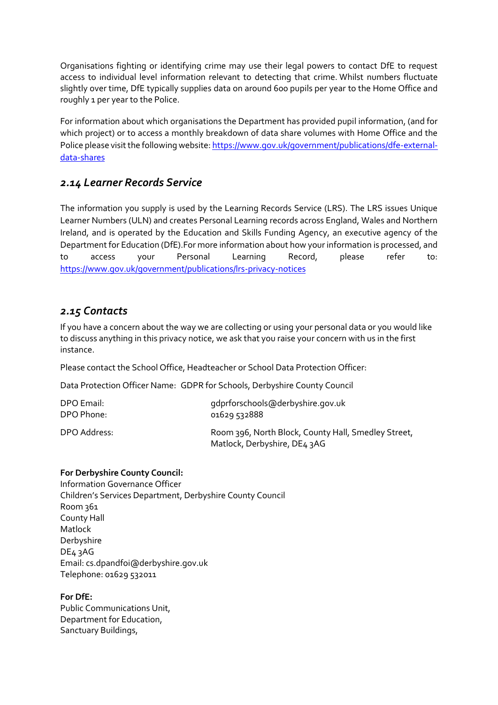Organisations fighting or identifying crime may use their legal powers to contact DfE to request access to individual level information relevant to detecting that crime. Whilst numbers fluctuate slightly over time, DfE typically supplies data on around 600 pupils per year to the Home Office and roughly 1 per year to the Police.

For information about which organisations the Department has provided pupil information, (and for which project) or to access a monthly breakdown of data share volumes with Home Office and the Police please visit the following website: [https://www.gov.uk/government/publications/dfe-external](https://www.gov.uk/government/publications/dfe-external-data-shares)[data-shares](https://www.gov.uk/government/publications/dfe-external-data-shares)

## <span id="page-7-0"></span>*2.14 Learner Records Service*

The information you supply is used by the Learning Records Service (LRS). The LRS issues Unique Learner Numbers (ULN) and creates Personal Learning records across England, Wales and Northern Ireland, and is operated by the Education and Skills Funding Agency, an executive agency of the Department for Education (DfE).For more information about how your information is processed, and to access your Personal Learning Record, please refer to: <https://www.gov.uk/government/publications/lrs-privacy-notices>

## <span id="page-7-1"></span>*2.15 Contacts*

If you have a concern about the way we are collecting or using your personal data or you would like to discuss anything in this privacy notice, we ask that you raise your concern with us in the first instance.

Please contact the School Office, Headteacher or School Data Protection Officer:

Data Protection Officer Name: GDPR for Schools, Derbyshire County Council

| DPO Email:   | qdprforschools@derbyshire.gov.uk                                                    |
|--------------|-------------------------------------------------------------------------------------|
| DPO Phone:   | 01629532888                                                                         |
| DPO Address: | Room 396, North Block, County Hall, Smedley Street,<br>Matlock, Derbyshire, DE4 3AG |

#### **For Derbyshire County Council:**

Information Governance Officer Children's Services Department, Derbyshire County Council Room 361 County Hall Matlock Derbyshire DE4 3AG Email: cs.dpandfoi@derbyshire.gov.uk Telephone: 01629 532011

#### **For DfE:**

Public Communications Unit, Department for Education, Sanctuary Buildings,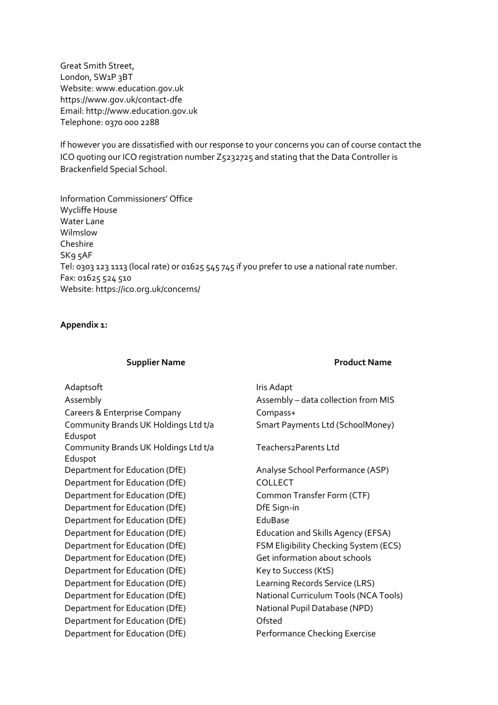Great Smith Street, London, SW<sub>1</sub>P<sub>3</sub>BT Website: www.education.gov.uk https://www.gov.uk/contact-dfe Email: http://www.education.gov.uk Telephone: 0370 000 2288

If however you are dissatisfied with our response to your concerns you can of course contact the ICO quoting our ICO registration number Z5232725 and stating that the Data Controller is Brackenfield Special School.

Information Commissioners' Office Wycliffe House Water Lane Wilmslow Cheshire SK9 5AF Tel: 0303 123 1113 (local rate) or 01625 545 745 if you prefer to use a national rate number. Fax: 01625 524 510 Website: https://ico.org.uk/concerns/

#### **Appendix 1:**

#### **Supplier Name** *Product Name*

Adaptsoft **Iris Adaptsoft** and *Iris Adapt* Assembly Assembly – data collection from MIS Careers & Enterprise Company Compass+ Community Brands UK Holdings Ltd t/a Eduspot Community Brands UK Holdings Ltd t/a Eduspot Department for Education (DfE) Analyse School Performance (ASP) Department for Education (DfE) COLLECT Department for Education (DfE) Common Transfer Form (CTF) Department for Education (DfE) DfE Sign-in Department for Education (DfE) EduBase Department for Education (DfE) Education and Skills Agency (EFSA) Department for Education (DfE) FSM Eligibility Checking System (ECS) Department for Education (DfE) Get information about schools Department for Education (DfE) Key to Success (KtS) Department for Education (DfE) Learning Records Service (LRS) Department for Education (DfE) National Curriculum Tools (NCA Tools) Department for Education (DfE) National Pupil Database (NPD) Department for Education (DfE) Channel Constant Department for Education (DfE) Performance Checking Exercise

Smart Payments Ltd (SchoolMoney)

Teachers2Parents Ltd